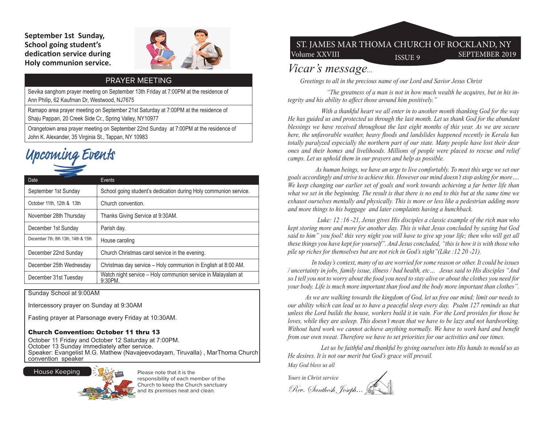**September 1st Sunday, School going student's dedication service during Holy communion service.**



### PRAYER MEETING

Sevika sanghom prayer meeting on September 13th Friday at 7:00PM at the residence of Ann Philip, 62 Kaufman Dr, Westwood, NJ7675

Ramapo area prayer meeting on September 21st Saturday at 7:00PM at the residence of Shaju Pappan, 20 Creek Side Cr., Spring Valley, NY10977

Orangetown area prayer meeting on September 22nd Sunday at 7:00PM at the residence of John K. Alexander, 35 Virginia St., Tappan, NY 10983

# Upcoming Events

| Date                                | Events                                                                     |
|-------------------------------------|----------------------------------------------------------------------------|
| September 1st Sunday                | School going student's dedication during Holy communion service.           |
| October 11th, 12th & 13th           | Church convention.                                                         |
| November 28th Thursday              | Thanks Giving Service at 9:30AM.                                           |
| December 1st Sunday                 | Parish day.                                                                |
| December 7th, 8th 13th, 14th & 15th | House caroling                                                             |
| December 22nd Sunday                | Church Christmas carol service in the evening.                             |
| December 25th Wednesday             | Christmas day service - Holy communion in English at 8:00 AM.              |
| December 31st Tuesday               | Watch night service - Holy communion service in Malayalam at<br>$9:30PM$ . |

Sunday School at 9:00AM

Intercessory prayer on Sunday at 9:30AM

Fasting prayer at Parsonage every Friday at 10:30AM.

#### Church Convention: October 11 thru 13

October 11 Friday and October 12 Saturday at 7:00PM. October 13 Sunday immediately after service. Speaker: Evangelist M.G. Mathew (Navajeevodayam, Tiruvalla) , MarThoma Church convention speaker



Please note that it is the responsibility of each member of the Church to keep the Church sanctuary and its premises neat and clean.

## Volume XXVIII ISSUE 9 SEPTEMBER 2019 ST. JAMES MAR THOMA CHURCH OF ROCKLAND, NY

## *Vicar's message...*

 *Greetings to all in the precious name of our Lord and Savior Jesus Christ* 

 *"The greatness of a man is not in how much wealth he acquires, but in his integrity and his ability to affect those around him positively.''*

 *With a thankful heart we all enter in to another month thanking God for the way He has guided us and protected us through the last month. Let us thank God for the abundant blessings we have received throughout the last eight months of this year. As we are secure here, the unfavorable weather, heavy floods and landslides happened recently in Kerala has totally paralyzed especially the northern part of our state. Many people have lost their dear ones and their homes and livelihoods. Millions of people were placed to rescue and relief camps. Let us uphold them in our prayers and help as possible.*

 *As human beings, we have an urge to live comfortably. To meet this urge we set our goals accordingly and strive to achieve this. However our mind doesn't stop asking for more…. We keep changing our earlier set of goals and work towards achieving a far better life than what we set in the beginning. The result is that there is no end to this but at the same time we exhaust ourselves mentally and physically. This is more or less like a pedestrian adding more and more things to his baggage and later complaints having a hunchback.*

 *Luke: 12 :16 -21, Jesus gives His disciples a classic example of the rich man who kept storing more and more for another day. This is what Jesus concluded by saying but God said to him" you fool! this very night you will have to give up your life; then who will get all these things you have kept for yourself". And Jesus concluded, "this is how it is with those who pile up riches for themselves but are not rich in God's sight"(Like :12 20 -21).*

 *In today's context, many of us are worried for some reason or other. It could be issues / uncertainty in jobs, family issue, illness / bad health, etc… Jesus said to His disciples "And so I tell you not to worry about the food you need to stay alive or about the clothes you need for your body. Life is much more important than food and the body more important than clothes".*

 *As we are walking towards the kingdom of God, let us free our mind; limit our needs to our ability which can lead us to have a peaceful sleep every day. Psalm 127 reminds us that unless the Lord builds the house, workers build it in vain. For the Lord provides for those he loves, while they are asleep. This doesn't mean that we have to be lazy and not hardworking. Without hard work we cannot achieve anything normally. We have to work hard and benefit from our own sweat. Therefore we have to set priorities for our activities and our times.*

 *Let us be faithful and thankful by giving ourselves into His hands to mould us as He desires. It is not our merit but God's grace will prevail.* 

*May God bless us all*

*Yours in Christ service* Rev. Santhosh Joseph...